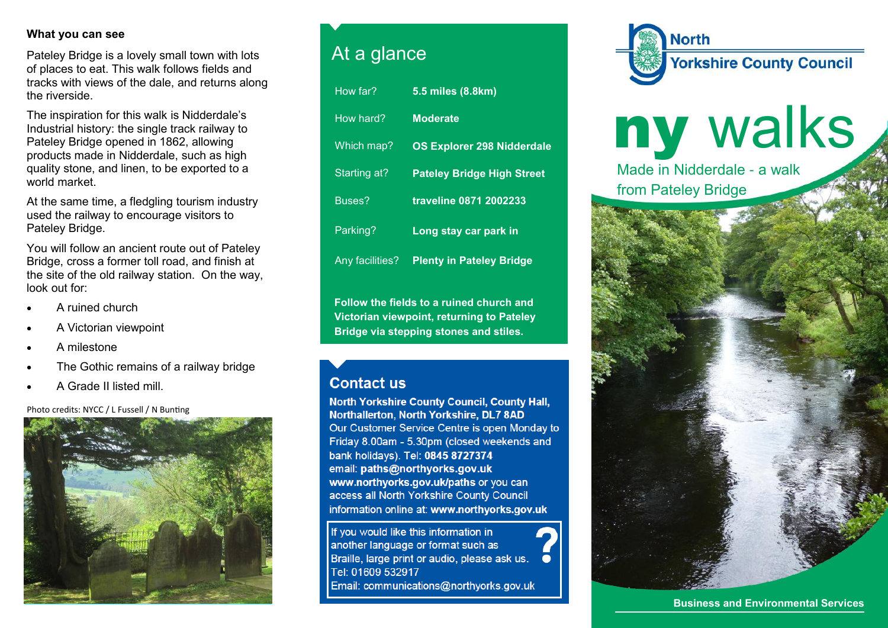## **What you can see**

Pateley Bridge is a lovely small town with lots of places to eat. This walk follows fields and tracks with views of the dale, and returns along the riverside.

The inspiration for this walk is Nidderdale's Industrial history: the single track railway to Pateley Bridge opened in 1862, allowing products made in Nidderdale, such as high quality stone, and linen, to be exported to a world market.

At the same time, a fledgling tourism industry used the railway to encourage visitors to Pateley Bridge.

You will follow an ancient route out of Pateley Bridge, cross a former toll road, and finish at the site of the old railway station. On the way, look out for:

- A ruined church
- A Victorian viewpoint
- A milestone
- The Gothic remains of a railway bridge
- A Grade II listed mill.

Photo credits: NYCC / L Fussell / N Bunting



## At a glance

| How far?        | 5.5 miles (8.8km)                 |
|-----------------|-----------------------------------|
| How hard?       | <b>Moderate</b>                   |
| Which map?      | <b>OS Explorer 298 Nidderdale</b> |
| Starting at?    | <b>Pateley Bridge High Street</b> |
| Buses?          | traveline 0871 2002233            |
| Parking?        | Long stay car park in             |
| Any facilities? | <b>Plenty in Pateley Bridge</b>   |
|                 |                                   |

**Follow the fields to a ruined church and Victorian viewpoint, returning to Pateley Bridge via stepping stones and stiles.**

## **Contact us**

North Yorkshire County Council, County Hall, Northallerton, North Yorkshire, DL7 8AD Our Customer Service Centre is open Monday to Friday 8.00am - 5.30pm (closed weekends and bank holidays). Tel: 0845 8727374 email: paths@northyorks.gov.uk www.northyorks.gov.uk/paths or you can access all North Yorkshire County Council information online at: www.northyorks.gov.uk

If you would like this information in another language or format such as Braille, large print or audio, please ask us. Tel: 01609 532917 Email: communications@northyorks.gov.uk



ny walks Made in Nidderdale - a walk from Pateley Bridge



**Business and Environmental Services**